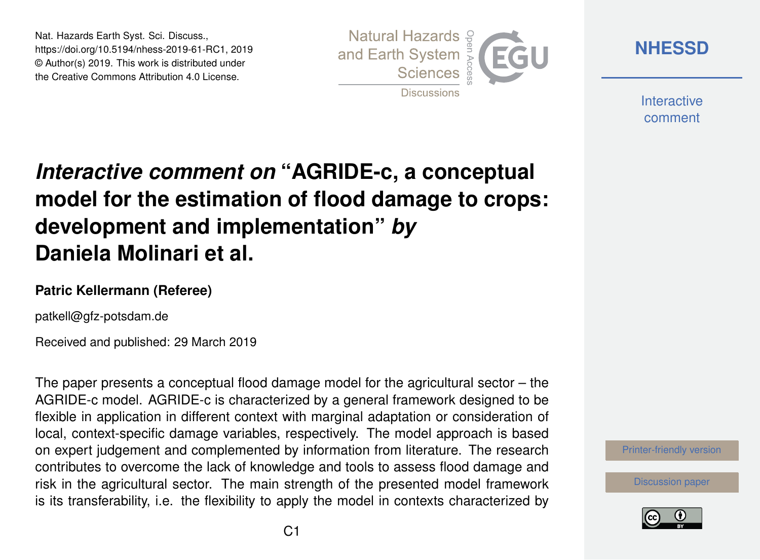Nat. Hazards Earth Syst. Sci. Discuss., https://doi.org/10.5194/nhess-2019-61-RC1, 2019 © Author(s) 2019. This work is distributed under the Creative Commons Attribution 4.0 License.



**[NHESSD](https://www.nat-hazards-earth-syst-sci-discuss.net/)**

**Interactive** comment

# *Interactive comment on* **"AGRIDE-c, a conceptual model for the estimation of flood damage to crops: development and implementation"** *by* **Daniela Molinari et al.**

### **Patric Kellermann (Referee)**

patkell@gfz-potsdam.de

Received and published: 29 March 2019

The paper presents a conceptual flood damage model for the agricultural sector – the AGRIDE-c model. AGRIDE-c is characterized by a general framework designed to be flexible in application in different context with marginal adaptation or consideration of local, context-specific damage variables, respectively. The model approach is based on expert judgement and complemented by information from literature. The research contributes to overcome the lack of knowledge and tools to assess flood damage and risk in the agricultural sector. The main strength of the presented model framework is its transferability, i.e. the flexibility to apply the model in contexts characterized by



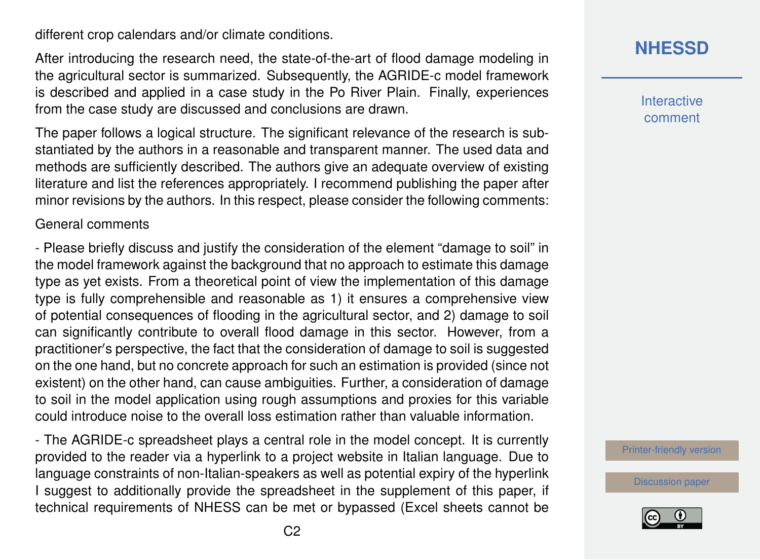different crop calendars and/or climate conditions.

After introducing the research need, the state-of-the-art of flood damage modeling in the agricultural sector is summarized. Subsequently, the AGRIDE-c model framework is described and applied in a case study in the Po River Plain. Finally, experiences from the case study are discussed and conclusions are drawn.

The paper follows a logical structure. The significant relevance of the research is substantiated by the authors in a reasonable and transparent manner. The used data and methods are sufficiently described. The authors give an adequate overview of existing literature and list the references appropriately. I recommend publishing the paper after minor revisions by the authors. In this respect, please consider the following comments:

#### General comments

- Please briefly discuss and justify the consideration of the element "damage to soil" in the model framework against the background that no approach to estimate this damage type as yet exists. From a theoretical point of view the implementation of this damage type is fully comprehensible and reasonable as 1) it ensures a comprehensive view of potential consequences of flooding in the agricultural sector, and 2) damage to soil can significantly contribute to overall flood damage in this sector. However, from a practitioner's perspective, the fact that the consideration of damage to soil is suggested on the one hand, but no concrete approach for such an estimation is provided (since not existent) on the other hand, can cause ambiguities. Further, a consideration of damage to soil in the model application using rough assumptions and proxies for this variable could introduce noise to the overall loss estimation rather than valuable information.

- The AGRIDE-c spreadsheet plays a central role in the model concept. It is currently provided to the reader via a hyperlink to a project website in Italian language. Due to language constraints of non-Italian-speakers as well as potential expiry of the hyperlink I suggest to additionally provide the spreadsheet in the supplement of this paper, if technical requirements of NHESS can be met or bypassed (Excel sheets cannot be **[NHESSD](https://www.nat-hazards-earth-syst-sci-discuss.net/)**

**Interactive** comment

[Printer-friendly version](https://www.nat-hazards-earth-syst-sci-discuss.net/nhess-2019-61/nhess-2019-61-RC1-print.pdf)

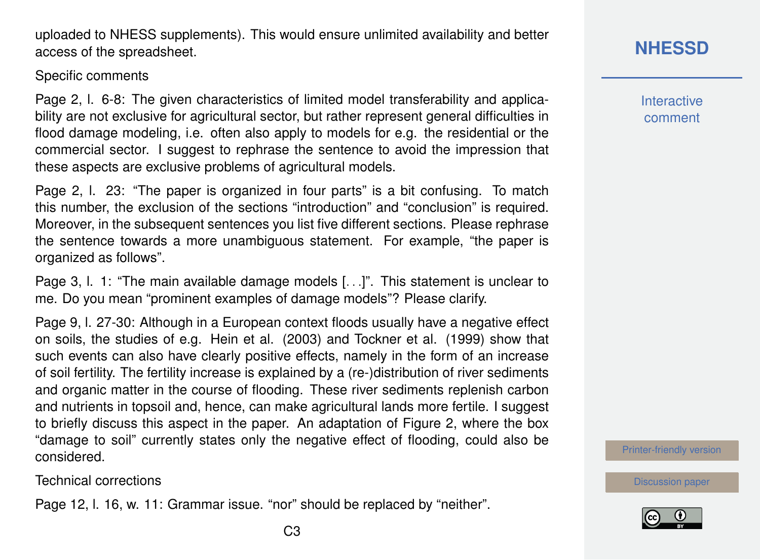and organic matter in the course of flooding. These river sediments replenish carbon

and nutrients in topsoil and, hence, can make agricultural lands more fertile. I suggest to briefly discuss this aspect in the paper. An adaptation of Figure 2, where the box "damage to soil" currently states only the negative effect of flooding, could also be considered.

Technical corrections

Page 12, l. 16, w. 11: Grammar issue. "nor" should be replaced by "neither".

uploaded to NHESS supplements). This would ensure unlimited availability and better

#### Specific comments

access of the spreadsheet.

Page 2, l. 6-8: The given characteristics of limited model transferability and applicability are not exclusive for agricultural sector, but rather represent general difficulties in flood damage modeling, i.e. often also apply to models for e.g. the residential or the commercial sector. I suggest to rephrase the sentence to avoid the impression that these aspects are exclusive problems of agricultural models.

Page 2, l. 23: "The paper is organized in four parts" is a bit confusing. To match this number, the exclusion of the sections "introduction" and "conclusion" is required. Moreover, in the subsequent sentences you list five different sections. Please rephrase the sentence towards a more unambiguous statement. For example, "the paper is organized as follows".

Page 3, I. 1: "The main available damage models [...]". This statement is unclear to me. Do you mean "prominent examples of damage models"? Please clarify.

Page 9, l. 27-30: Although in a European context floods usually have a negative effect on soils, the studies of e.g. Hein et al. (2003) and Tockner et al. (1999) show that such events can also have clearly positive effects, namely in the form of an increase of soil fertility. The fertility increase is explained by a (re-)distribution of river sediments **[NHESSD](https://www.nat-hazards-earth-syst-sci-discuss.net/)**

**Interactive** comment

[Printer-friendly version](https://www.nat-hazards-earth-syst-sci-discuss.net/nhess-2019-61/nhess-2019-61-RC1-print.pdf)